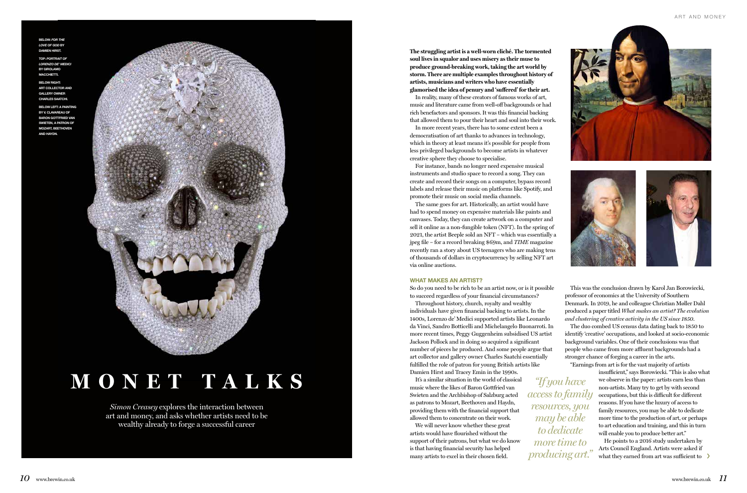*Simon Creasey* explores the interaction between art and money, and asks whether artists need to be wealthy already to forge a successful career

# **MONET TALKS**

*"If you have access to family resources, you may be able to dedicate more time to* 

**The struggling artist is a well-worn cliché. The tormented soul lives in squalor and uses misery as their muse to produce ground-breaking work, taking the art world by storm. There are multiple examples throughout history of artists, musicians and writers who have essentially glamorised the idea of penury and 'suffered' for their art.** 

In reality, many of these creators of famous works of art, music and literature came from well-off backgrounds or had rich benefactors and sponsors. It was this financial backing that allowed them to pour their heart and soul into their work.

In more recent years, there has to some extent been a democratisation of art thanks to advances in technology, which in theory at least means it's possible for people from less privileged backgrounds to become artists in whatever creative sphere they choose to specialise.

For instance, bands no longer need expensive musical instruments and studio space to record a song. They can create and record their songs on a computer, bypass record labels and release their music on platforms like Spotify, and promote their music on social media channels.

The same goes for art. Historically, an artist would have had to spend money on expensive materials like paints and canvases. Today, they can create artwork on a computer and sell it online as a non-fungible token (NFT). In the spring of 2021, the artist Beeple sold an NFT – which was essentially a jpeg file – for a record breaking \$69m, and *TIME* magazine recently ran a story about US teenagers who are making tens of thousands of dollars in cryptocurrency by selling NFT art via online auctions.

#### WHAT MAKES AN ARTIST?

So do you need to be rich to be an artist now, or is it possible to succeed regardless of your financial circumstances?

> producing art." Arts Council England. Artists were asked if<br>
> <u>producing</u> art." what they earned from art was sufficient to He points to a 2016 study undertaken by what they earned from art was sufficient to

Throughout history, church, royalty and wealthy individuals have given financial backing to artists. In the 1400s, Lorenzo de' Medici supported artists like Leonardo da Vinci, Sandro Botticelli and Michelangelo Buonarroti. In more recent times, Peggy Guggenheim subsidised US artist Jackson Pollock and in doing so acquired a significant number of pieces he produced. And some people argue that art collector and gallery owner Charles Saatchi essentially fulfilled the role of patron for young British artists like Damien Hirst and Tracey Emin in the 1990s.

It's a similar situation in the world of classical music where the likes of Baron Gottfried van Swieten and the Archbishop of Salzburg acted as patrons to Mozart, Beethoven and Haydn, providing them with the financial support that allowed them to concentrate on their work.

We will never know whether these great artists would have flourished without the support of their patrons, but what we do know is that having financial security has helped many artists to excel in their chosen field.

This was the conclusion drawn by Karol Jan Borowiecki, professor of economics at the University of Southern Denmark. In 2019, he and colleague Christian Møller Dahl produced a paper titled *What makes an artist? The evolution and clustering of creative activity in the US since 1850*. The duo combed US census data dating back to 1850 to identify 'creative' occupations, and looked at socio-economic background variables. One of their conclusions was that people who came from more affluent backgrounds had a stronger chance of forging a career in the arts. "Earnings from art is for the vast majority of artists

> insufficient," says Borowiecki. "This is also what we observe in the paper: artists earn less than non-artists. Many try to get by with second occupations, but this is difficult for different reasons. If you have the luxury of access to family resources, you may be able to dedicate more time to the production of art, or perhaps to art education and training, and this in turn will enable you to produce better art."







BELOW: *FOR THE LOVE OF GOD* BY DAMIEN HIRST.

TOP: *PORTRAIT OF LORENZO DE' MEDICI* BY GIROLAMO MACCHIETTI.

BELOW RIGHT: ART COLLECTOR AND GALLERY OWNER CHARLES SAATCHI.

BELOW LEFT: A PAINTING BY V. CLAVAREAU OF BARON GOTTFRIED VAN SWIETEN, A PATRON OF MOZART, BEETHOVEN AND HAYDN.